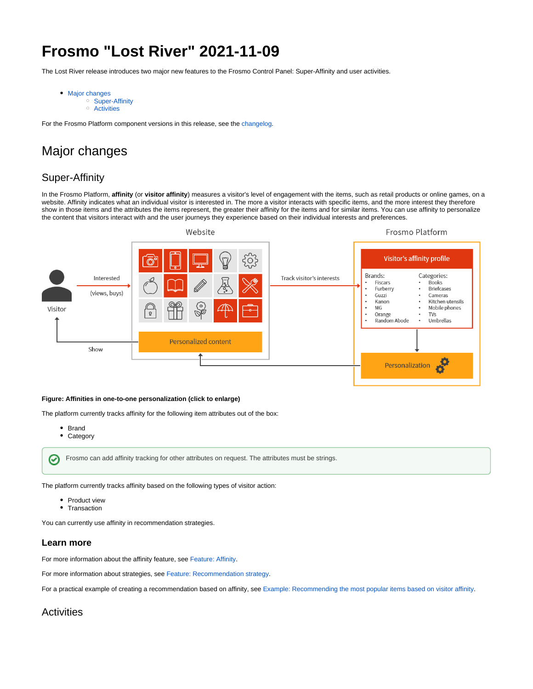# **Frosmo "Lost River" 2021-11-09**

The Lost River release introduces two major new features to the Frosmo Control Panel: Super-Affinity and user activities.

- [Major changes](#page-0-0)
	- <sup>o</sup> [Super-Affinity](#page-0-1)
	- <sup>o</sup> [Activities](#page-0-2)

For the Frosmo Platform component versions in this release, see the [changelog](https://docs.frosmo.com/display/releases/Changelog+archive#Changelogarchive-LostRiver(2021-11-09)).

## <span id="page-0-0"></span>Major changes

## <span id="page-0-1"></span>Super-Affinity

In the Frosmo Platform, **affinity** (or **visitor affinity**) measures a visitor's level of engagement with the items, such as retail products or online games, on a website. Affinity indicates what an individual visitor is interested in. The more a visitor interacts with specific items, and the more interest they therefore show in those items and the attributes the items represent, the greater their affinity for the items and for similar items. You can use affinity to personalize the content that visitors interact with and the user journeys they experience based on their individual interests and preferences.



#### **Figure: Affinities in one-to-one personalization (click to enlarge)**

The platform currently tracks affinity for the following item attributes out of the box:

• Brand

⊘

**Category**  $\bullet$ 

Frosmo can add affinity tracking for other attributes on request. The attributes must be strings.

The platform currently tracks affinity based on the following types of visitor action:

- Product view
- Transaction

You can currently use affinity in recommendation strategies.

#### **Learn more**

For more information about the affinity feature, see [Feature: Affinity](https://docs.frosmo.com/display/platform/Feature%3A+Affinity).

For more information about strategies, see [Feature: Recommendation strategy.](https://docs.frosmo.com/display/platform/Feature%3A+Recommendation+strategy)

For a practical example of creating a recommendation based on affinity, see [Example: Recommending the most popular items based on visitor affinity](https://docs.frosmo.com/display/ui/Example%3A+Recommending+the+most+popular+items+based+on+visitor+affinity).

### <span id="page-0-2"></span>**Activities**